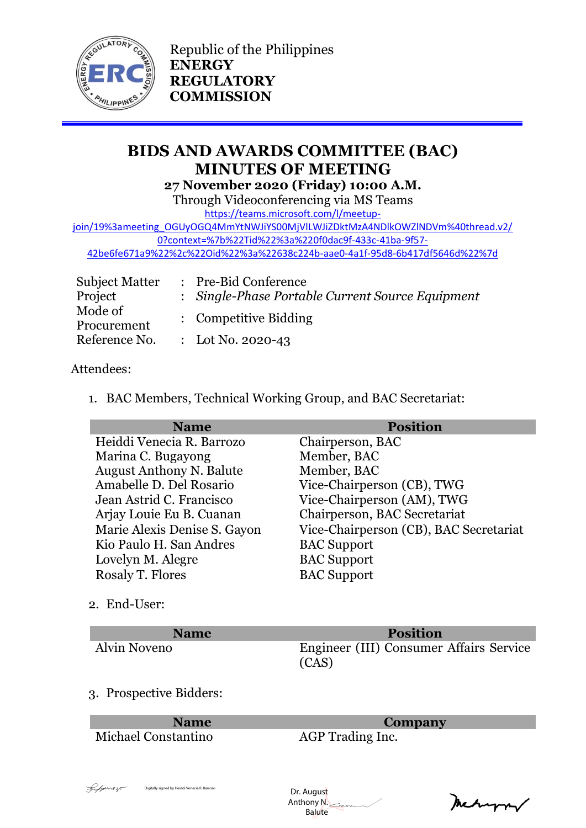

Republic of the Philippines **ENERGY REGULATORY COMMISSION**

# **BIDS AND AWARDS COMMITTEE (BAC) MINUTES OF MEETING 27 November 2020 (Friday) 10:00 A.M.**

Through Videoconferencing via MS Teams

[https://teams.microsoft.com/l/meetup-](https://teams.microsoft.com/l/meetup-join/19%3ameeting_OGUyOGQ4MmYtNWJiYS00MjVlLWJiZDktMzA4NDlkOWZlNDVm%40thread.v2/0?context=%7b%22Tid%22%3a%220f0dac9f-433c-41ba-9f57-42be6fe671a9%22%2c%22Oid%22%3a%22638c224b-aae0-4a1f-95d8-6b417df5646d%22%7d)

[join/19%3ameeting\\_OGUyOGQ4MmYtNWJiYS00MjVlLWJiZDktMzA4NDlkOWZlNDVm%40thread.v2/](https://teams.microsoft.com/l/meetup-join/19%3ameeting_OGUyOGQ4MmYtNWJiYS00MjVlLWJiZDktMzA4NDlkOWZlNDVm%40thread.v2/0?context=%7b%22Tid%22%3a%220f0dac9f-433c-41ba-9f57-42be6fe671a9%22%2c%22Oid%22%3a%22638c224b-aae0-4a1f-95d8-6b417df5646d%22%7d) [0?context=%7b%22Tid%22%3a%220f0dac9f-433c-41ba-9f57-](https://teams.microsoft.com/l/meetup-join/19%3ameeting_OGUyOGQ4MmYtNWJiYS00MjVlLWJiZDktMzA4NDlkOWZlNDVm%40thread.v2/0?context=%7b%22Tid%22%3a%220f0dac9f-433c-41ba-9f57-42be6fe671a9%22%2c%22Oid%22%3a%22638c224b-aae0-4a1f-95d8-6b417df5646d%22%7d) [42be6fe671a9%22%2c%22Oid%22%3a%22638c224b-aae0-4a1f-95d8-6b417df5646d%22%7d](https://teams.microsoft.com/l/meetup-join/19%3ameeting_OGUyOGQ4MmYtNWJiYS00MjVlLWJiZDktMzA4NDlkOWZlNDVm%40thread.v2/0?context=%7b%22Tid%22%3a%220f0dac9f-433c-41ba-9f57-42be6fe671a9%22%2c%22Oid%22%3a%22638c224b-aae0-4a1f-95d8-6b417df5646d%22%7d)

| Subject Matter | : Pre-Bid Conference                             |
|----------------|--------------------------------------------------|
| Project        | : Single-Phase Portable Current Source Equipment |
| Mode of        | : Competitive Bidding                            |
| Procurement    |                                                  |
| Reference No.  | : Lot No. 2020-43                                |

### Attendees:

1. BAC Members, Technical Working Group, and BAC Secretariat:

| <b>Name</b>                     | <b>Position</b>                        |
|---------------------------------|----------------------------------------|
| Heiddi Venecia R. Barrozo       | Chairperson, BAC                       |
| Marina C. Bugayong              | Member, BAC                            |
| <b>August Anthony N. Balute</b> | Member, BAC                            |
| Amabelle D. Del Rosario         | Vice-Chairperson (CB), TWG             |
| Jean Astrid C. Francisco        | Vice-Chairperson (AM), TWG             |
| Arjay Louie Eu B. Cuanan        | Chairperson, BAC Secretariat           |
| Marie Alexis Denise S. Gayon    | Vice-Chairperson (CB), BAC Secretariat |
| Kio Paulo H. San Andres         | <b>BAC</b> Support                     |
| Lovelyn M. Alegre               | <b>BAC</b> Support                     |
| Rosaly T. Flores                | <b>BAC</b> Support                     |
|                                 |                                        |

2. End-User:

| <b>Name</b>  | <b>Position</b>                                  |
|--------------|--------------------------------------------------|
| Alvin Noveno | Engineer (III) Consumer Affairs Service<br>(CAS) |

#### 3. Prospective Bidders:

Michael Constantino AGP Trading Inc.

**Name Company**

 Dr. August Anthony N. Dr. August Digitally signed by Heiddi Venecia R. Barrozo<br>| Anthony M.<br>| Balute

Mechangrav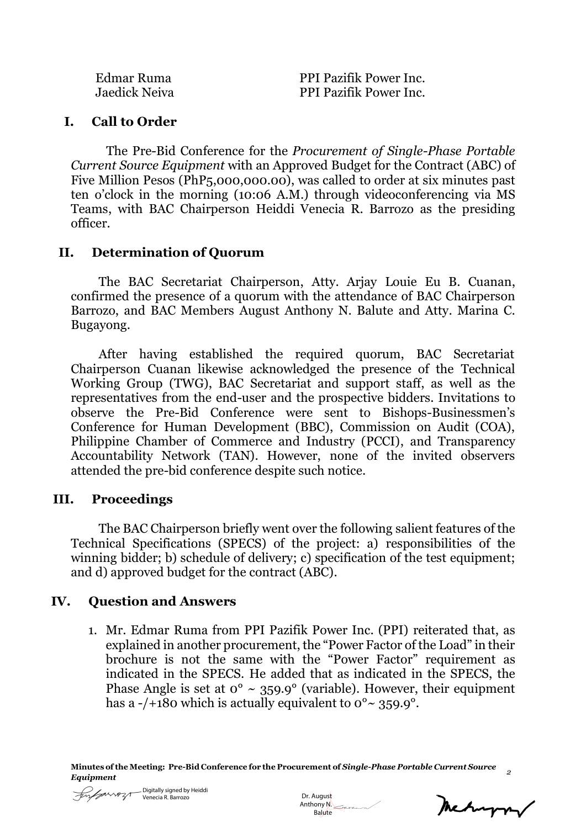| Edmar Ruma    |  |
|---------------|--|
| Jaedick Neiva |  |

PPI Pazifik Power Inc. PPI Pazifik Power Inc.

## **I. Call to Order**

The Pre-Bid Conference for the *Procurement of Single-Phase Portable Current Source Equipment* with an Approved Budget for the Contract (ABC) of Five Million Pesos (PhP5,000,000.00), was called to order at six minutes past ten o'clock in the morning (10:06 A.M.) through videoconferencing via MS Teams, with BAC Chairperson Heiddi Venecia R. Barrozo as the presiding officer.

## **II. Determination of Quorum**

The BAC Secretariat Chairperson, Atty. Arjay Louie Eu B. Cuanan, confirmed the presence of a quorum with the attendance of BAC Chairperson Barrozo, and BAC Members August Anthony N. Balute and Atty. Marina C. Bugayong.

After having established the required quorum, BAC Secretariat Chairperson Cuanan likewise acknowledged the presence of the Technical Working Group (TWG), BAC Secretariat and support staff, as well as the representatives from the end-user and the prospective bidders. Invitations to observe the Pre-Bid Conference were sent to Bishops-Businessmen's Conference for Human Development (BBC), Commission on Audit (COA), Philippine Chamber of Commerce and Industry (PCCI), and Transparency Accountability Network (TAN). However, none of the invited observers attended the pre-bid conference despite such notice.

# **III. Proceedings**

The BAC Chairperson briefly went over the following salient features of the Technical Specifications (SPECS) of the project: a) responsibilities of the winning bidder; b) schedule of delivery; c) specification of the test equipment; and d) approved budget for the contract (ABC).

# **IV. Question and Answers**

1. Mr. Edmar Ruma from PPI Pazifik Power Inc. (PPI) reiterated that, as explained in another procurement, the "Power Factor of the Load" in their brochure is not the same with the "Power Factor" requirement as indicated in the SPECS. He added that as indicated in the SPECS, the Phase Angle is set at  $0^{\circ} \sim 359.9^{\circ}$  (variable). However, their equipment has a -/+180 which is actually equivalent to  $0^{\circ}$   $\sim$  359.9°.



 Dr. August Anthony N. Balute

meturn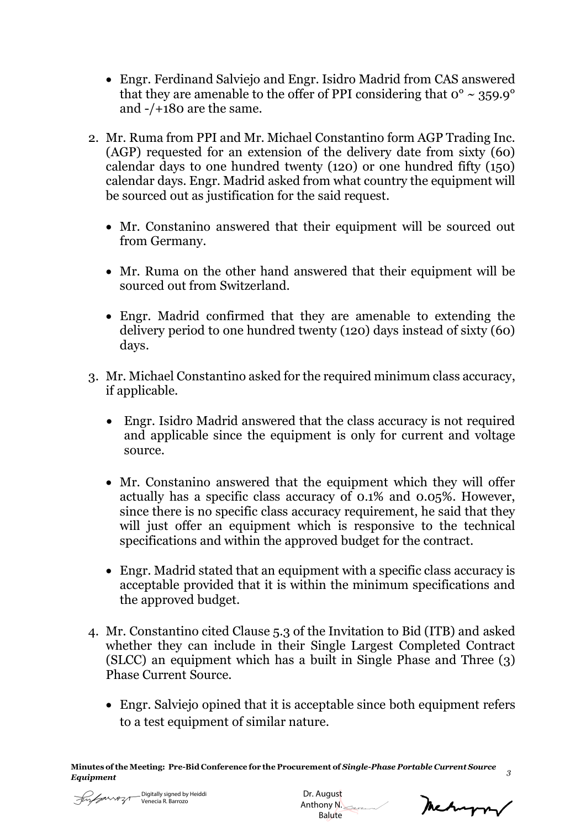- Engr. Ferdinand Salviejo and Engr. Isidro Madrid from CAS answered that they are amenable to the offer of PPI considering that  $0^{\circ} \sim 359.9^{\circ}$ and -/+180 are the same.
- 2. Mr. Ruma from PPI and Mr. Michael Constantino form AGP Trading Inc. (AGP) requested for an extension of the delivery date from sixty (60) calendar days to one hundred twenty (120) or one hundred fifty (150) calendar days. Engr. Madrid asked from what country the equipment will be sourced out as justification for the said request.
	- Mr. Constanino answered that their equipment will be sourced out from Germany.
	- Mr. Ruma on the other hand answered that their equipment will be sourced out from Switzerland.
	- Engr. Madrid confirmed that they are amenable to extending the delivery period to one hundred twenty (120) days instead of sixty (60) days.
- 3. Mr. Michael Constantino asked for the required minimum class accuracy, if applicable.
	- Engr. Isidro Madrid answered that the class accuracy is not required and applicable since the equipment is only for current and voltage source.
	- Mr. Constanino answered that the equipment which they will offer actually has a specific class accuracy of 0.1% and 0.05%. However, since there is no specific class accuracy requirement, he said that they will just offer an equipment which is responsive to the technical specifications and within the approved budget for the contract.
	- Engr. Madrid stated that an equipment with a specific class accuracy is acceptable provided that it is within the minimum specifications and the approved budget.
- 4. Mr. Constantino cited Clause 5.3 of the Invitation to Bid (ITB) and asked whether they can include in their Single Largest Completed Contract (SLCC) an equipment which has a built in Single Phase and Three (3) Phase Current Source.
	- Engr. Salviejo opined that it is acceptable since both equipment refers to a test equipment of similar nature.



 Dr. August Anthony N. **Balute** 

meturn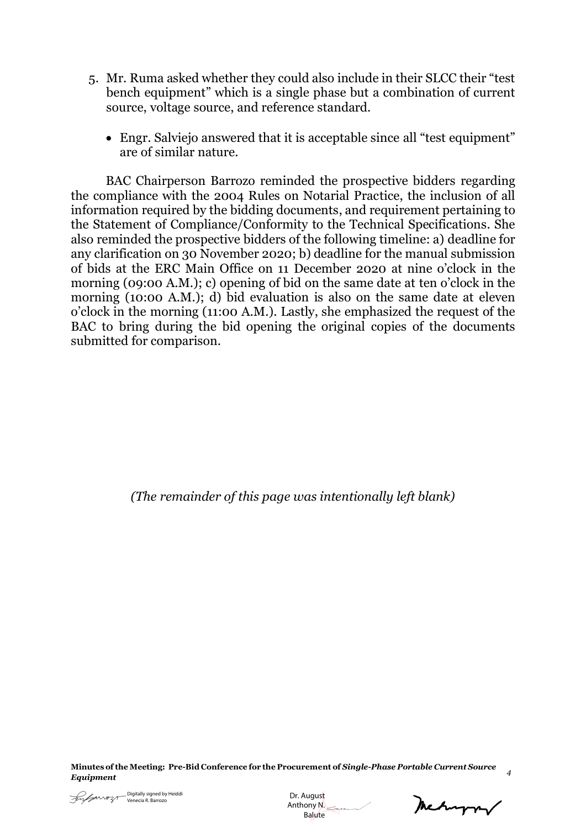- 5. Mr. Ruma asked whether they could also include in their SLCC their "test bench equipment" which is a single phase but a combination of current source, voltage source, and reference standard.
	- Engr. Salviejo answered that it is acceptable since all "test equipment" are of similar nature.

BAC Chairperson Barrozo reminded the prospective bidders regarding the compliance with the 2004 Rules on Notarial Practice, the inclusion of all information required by the bidding documents, and requirement pertaining to the Statement of Compliance/Conformity to the Technical Specifications. She also reminded the prospective bidders of the following timeline: a) deadline for any clarification on 30 November 2020; b) deadline for the manual submission of bids at the ERC Main Office on 11 December 2020 at nine o'clock in the morning (09:00 A.M.); c) opening of bid on the same date at ten o'clock in the morning (10:00 A.M.); d) bid evaluation is also on the same date at eleven o'clock in the morning (11:00 A.M.). Lastly, she emphasized the request of the BAC to bring during the bid opening the original copies of the documents submitted for comparison.

*(The remainder of this page was intentionally left blank)*

Dr. August Anthony N. Balute

Mechangery